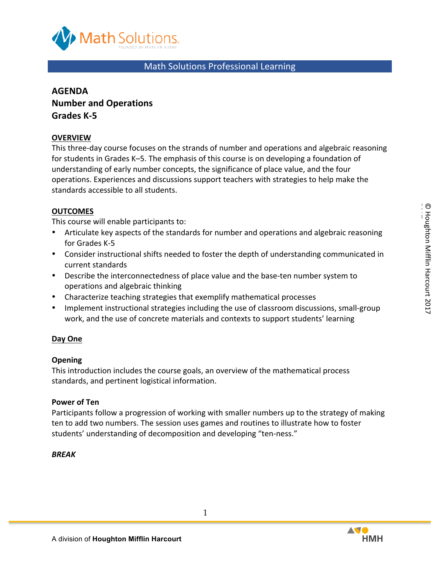

# Math Solutions Professional Learning

# **AGENDA Number and Operations Grades K-5**

# **OVERVIEW**

This three-day course focuses on the strands of number and operations and algebraic reasoning for students in Grades K-5. The emphasis of this course is on developing a foundation of understanding of early number concepts, the significance of place value, and the four operations. Experiences and discussions support teachers with strategies to help make the standards accessible to all students.

# **OUTCOMES**

This course will enable participants to:

- Articulate key aspects of the standards for number and operations and algebraic reasoning for Grades K-5
- Consider instructional shifts needed to foster the depth of understanding communicated in current standards
- Describe the interconnectedness of place value and the base-ten number system to operations and algebraic thinking
- Characterize teaching strategies that exemplify mathematical processes
- Implement instructional strategies including the use of classroom discussions, small-group work, and the use of concrete materials and contexts to support students' learning

## **Day One**

## **Opening**

This introduction includes the course goals, an overview of the mathematical process standards, and pertinent logistical information.

## **Power of Ten**

Participants follow a progression of working with smaller numbers up to the strategy of making ten to add two numbers. The session uses games and routines to illustrate how to foster students' understanding of decomposition and developing "ten-ness."

## *BREAK*

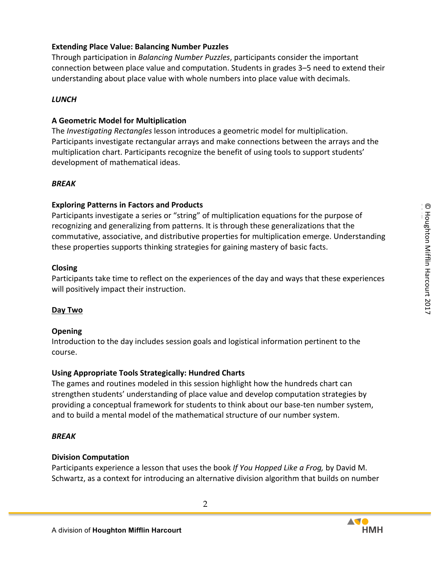## **Extending Place Value: Balancing Number Puzzles**

Through participation in *Balancing Number Puzzles*, participants consider the important connection between place value and computation. Students in grades 3–5 need to extend their understanding about place value with whole numbers into place value with decimals.

### *LUNCH*

### **A Geometric Model for Multiplication**

The *Investigating Rectangles* lesson introduces a geometric model for multiplication. Participants investigate rectangular arrays and make connections between the arrays and the multiplication chart. Participants recognize the benefit of using tools to support students' development of mathematical ideas.

#### *BREAK*

#### **Exploring Patterns in Factors and Products**

Participants investigate a series or "string" of multiplication equations for the purpose of recognizing and generalizing from patterns. It is through these generalizations that the commutative, associative, and distributive properties for multiplication emerge. Understanding these properties supports thinking strategies for gaining mastery of basic facts.

#### **Closing**

Participants take time to reflect on the experiences of the day and ways that these experiences will positively impact their instruction.

#### **Day Two**

#### **Opening**

Introduction to the day includes session goals and logistical information pertinent to the course.

#### Using Appropriate Tools Strategically: Hundred Charts

The games and routines modeled in this session highlight how the hundreds chart can strengthen students' understanding of place value and develop computation strategies by providing a conceptual framework for students to think about our base-ten number system, and to build a mental model of the mathematical structure of our number system.

#### *BREAK*

#### **Division Computation**

Participants experience a lesson that uses the book If You Hopped Like a Frog, by David M. Schwartz, as a context for introducing an alternative division algorithm that builds on number

2

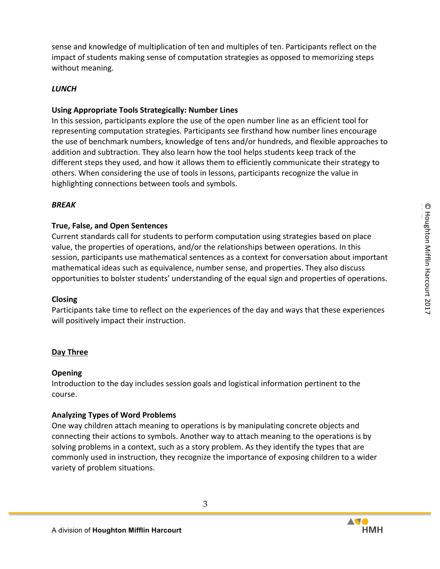sense and knowledge of multiplication of ten and multiples of ten. Participants reflect on the impact of students making sense of computation strategies as opposed to memorizing steps without meaning.

# *LUNCH*

# **Using Appropriate Tools Strategically: Number Lines**

In this session, participants explore the use of the open number line as an efficient tool for representing computation strategies. Participants see firsthand how number lines encourage the use of benchmark numbers, knowledge of tens and/or hundreds, and flexible approaches to addition and subtraction. They also learn how the tool helps students keep track of the different steps they used, and how it allows them to efficiently communicate their strategy to others. When considering the use of tools in lessons, participants recognize the value in highlighting connections between tools and symbols.

## *BREAK*

## **True, False, and Open Sentences**

Current standards call for students to perform computation using strategies based on place value, the properties of operations, and/or the relationships between operations. In this session, participants use mathematical sentences as a context for conversation about important mathematical ideas such as equivalence, number sense, and properties. They also discuss opportunities to bolster students' understanding of the equal sign and properties of operations.

## **Closing**

Participants take time to reflect on the experiences of the day and ways that these experiences will positively impact their instruction.

## **Day Three**

## **Opening**

Introduction to the day includes session goals and logistical information pertinent to the course.

## **Analyzing Types of Word Problems**

One way children attach meaning to operations is by manipulating concrete objects and connecting their actions to symbols. Another way to attach meaning to the operations is by solving problems in a context, such as a story problem. As they identify the types that are commonly used in instruction, they recognize the importance of exposing children to a wider variety of problem situations.

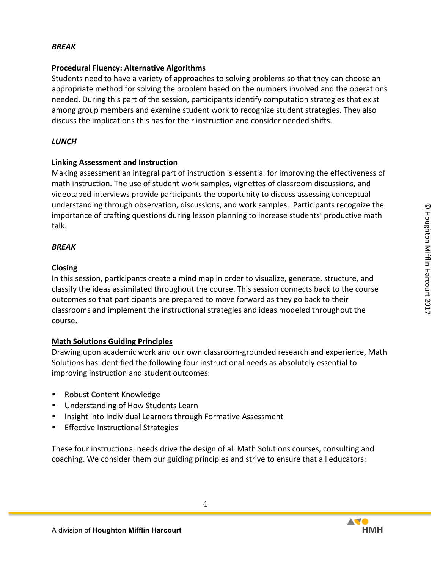### *BREAK*

### **Procedural Fluency: Alternative Algorithms**

Students need to have a variety of approaches to solving problems so that they can choose an appropriate method for solving the problem based on the numbers involved and the operations needed. During this part of the session, participants identify computation strategies that exist among group members and examine student work to recognize student strategies. They also discuss the implications this has for their instruction and consider needed shifts.

### *LUNCH*

### **Linking Assessment and Instruction**

Making assessment an integral part of instruction is essential for improving the effectiveness of math instruction. The use of student work samples, vignettes of classroom discussions, and videotaped interviews provide participants the opportunity to discuss assessing conceptual understanding through observation, discussions, and work samples. Participants recognize the importance of crafting questions during lesson planning to increase students' productive math talk.

### *BREAK*

### **Closing**

In this session, participants create a mind map in order to visualize, generate, structure, and classify the ideas assimilated throughout the course. This session connects back to the course outcomes so that participants are prepared to move forward as they go back to their classrooms and implement the instructional strategies and ideas modeled throughout the course.

### **Math Solutions Guiding Principles**

Drawing upon academic work and our own classroom-grounded research and experience, Math Solutions has identified the following four instructional needs as absolutely essential to improving instruction and student outcomes:

- Robust Content Knowledge
- Understanding of How Students Learn
- Insight into Individual Learners through Formative Assessment
- **Effective Instructional Strategies**

These four instructional needs drive the design of all Math Solutions courses, consulting and coaching. We consider them our guiding principles and strive to ensure that all educators: